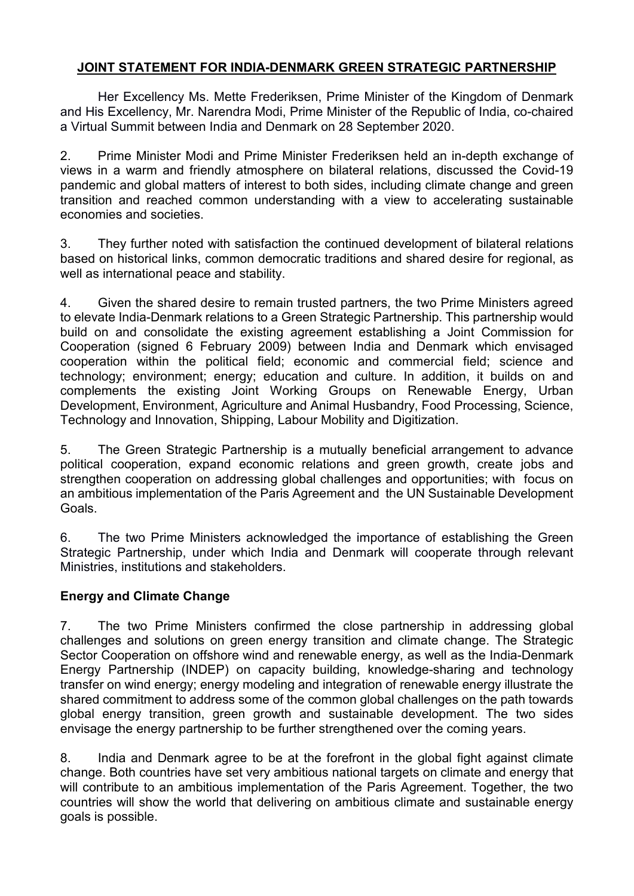## **JOINT STATEMENT FOR INDIA-DENMARK GREEN STRATEGIC PARTNERSHIP**

Her Excellency Ms. Mette Frederiksen, Prime Minister of the Kingdom of Denmark and His Excellency, Mr. Narendra Modi, Prime Minister of the Republic of India, co-chaired a Virtual Summit between India and Denmark on 28 September 2020.

2. Prime Minister Modi and Prime Minister Frederiksen held an in-depth exchange of views in a warm and friendly atmosphere on bilateral relations, discussed the Covid-19 pandemic and global matters of interest to both sides, including climate change and green transition and reached common understanding with a view to accelerating sustainable economies and societies.

3. They further noted with satisfaction the continued development of bilateral relations based on historical links, common democratic traditions and shared desire for regional, as well as international peace and stability.

4. Given the shared desire to remain trusted partners, the two Prime Ministers agreed to elevate India-Denmark relations to a Green Strategic Partnership. This partnership would build on and consolidate the existing agreement establishing a Joint Commission for Cooperation (signed 6 February 2009) between India and Denmark which envisaged cooperation within the political field; economic and commercial field; science and technology; environment; energy; education and culture. In addition, it builds on and complements the existing Joint Working Groups on Renewable Energy, Urban Development, Environment, Agriculture and Animal Husbandry, Food Processing, Science, Technology and Innovation, Shipping, Labour Mobility and Digitization.

5. The Green Strategic Partnership is a mutually beneficial arrangement to advance political cooperation, expand economic relations and green growth, create jobs and strengthen cooperation on addressing global challenges and opportunities; with focus on an ambitious implementation of the Paris Agreement and the UN Sustainable Development Goals.

6. The two Prime Ministers acknowledged the importance of establishing the Green Strategic Partnership, under which India and Denmark will cooperate through relevant Ministries, institutions and stakeholders.

#### **Energy and Climate Change**

7. The two Prime Ministers confirmed the close partnership in addressing global challenges and solutions on green energy transition and climate change. The Strategic Sector Cooperation on offshore wind and renewable energy, as well as the India-Denmark Energy Partnership (INDEP) on capacity building, knowledge-sharing and technology transfer on wind energy; energy modeling and integration of renewable energy illustrate the shared commitment to address some of the common global challenges on the path towards global energy transition, green growth and sustainable development. The two sides envisage the energy partnership to be further strengthened over the coming vears.

8. India and Denmark agree to be at the forefront in the global fight against climate change. Both countries have set very ambitious national targets on climate and energy that will contribute to an ambitious implementation of the Paris Agreement. Together, the two countries will show the world that delivering on ambitious climate and sustainable energy goals is possible.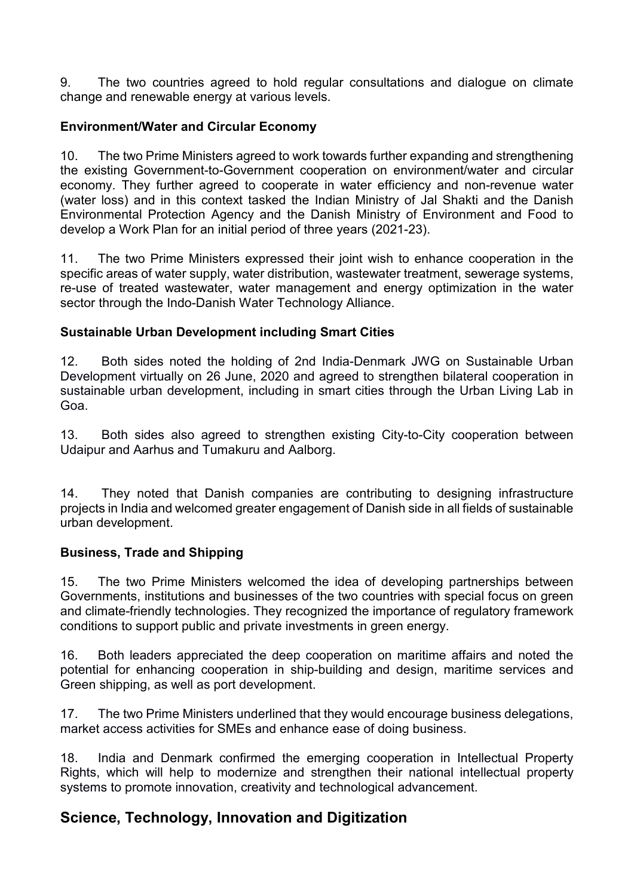9. The two countries agreed to hold regular consultations and dialogue on climate change and renewable energy at various levels.

### **Environment/Water and Circular Economy**

10. The two Prime Ministers agreed to work towards further expanding and strengthening the existing Government-to-Government cooperation on environment/water and circular economy. They further agreed to cooperate in water efficiency and non-revenue water (water loss) and in this context tasked the Indian Ministry of Jal Shakti and the Danish Environmental Protection Agency and the Danish Ministry of Environment and Food to develop a Work Plan for an initial period of three years (2021-23).

11. The two Prime Ministers expressed their joint wish to enhance cooperation in the specific areas of water supply, water distribution, wastewater treatment, sewerage systems, re-use of treated wastewater, water management and energy optimization in the water sector through the Indo-Danish Water Technology Alliance.

#### **Sustainable Urban Development including Smart Cities**

12. Both sides noted the holding of 2nd India-Denmark JWG on Sustainable Urban Development virtually on 26 June, 2020 and agreed to strengthen bilateral cooperation in sustainable urban development, including in smart cities through the Urban Living Lab in Goa.

13. Both sides also agreed to strengthen existing City-to-City cooperation between Udaipur and Aarhus and Tumakuru and Aalborg.

14. They noted that Danish companies are contributing to designing infrastructure projects in India and welcomed greater engagement of Danish side in all fields of sustainable urban development.

#### **Business, Trade and Shipping**

15. The two Prime Ministers welcomed the idea of developing partnerships between Governments, institutions and businesses of the two countries with special focus on green and climate-friendly technologies. They recognized the importance of regulatory framework conditions to support public and private investments in green energy.

16. Both leaders appreciated the deep cooperation on maritime affairs and noted the potential for enhancing cooperation in ship-building and design, maritime services and Green shipping, as well as port development.

17. The two Prime Ministers underlined that they would encourage business delegations, market access activities for SMEs and enhance ease of doing business.

18. India and Denmark confirmed the emerging cooperation in Intellectual Property Rights, which will help to modernize and strengthen their national intellectual property systems to promote innovation, creativity and technological advancement.

# **Science, Technology, Innovation and Digitization**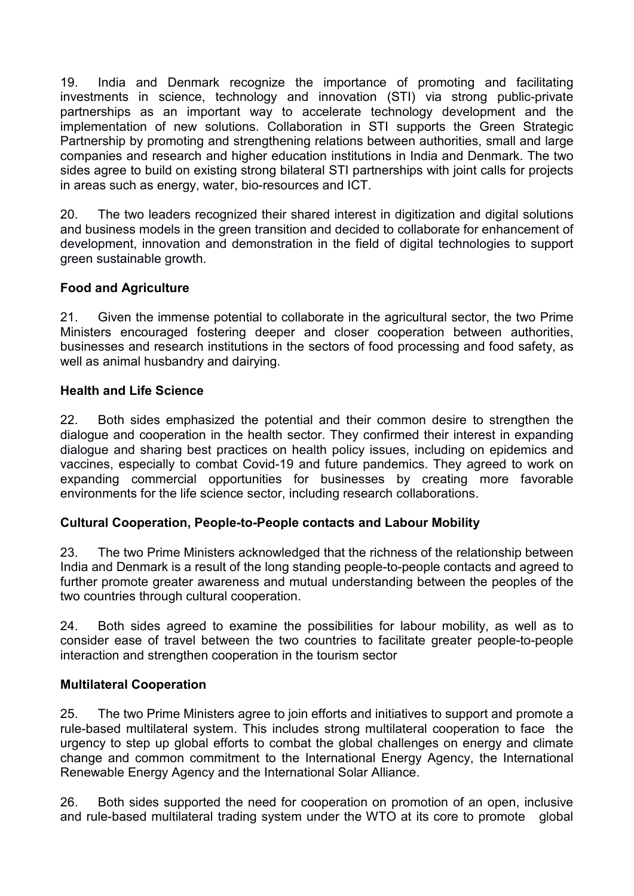19. India and Denmark recognize the importance of promoting and facilitating investments in science, technology and innovation (STI) via strong public-private partnerships as an important way to accelerate technology development and the implementation of new solutions. Collaboration in STI supports the Green Strategic Partnership by promoting and strengthening relations between authorities, small and large companies and research and higher education institutions in India and Denmark. The two sides agree to build on existing strong bilateral STI partnerships with joint calls for projects in areas such as energy, water, bio-resources and ICT.

20. The two leaders recognized their shared interest in digitization and digital solutions and business models in the green transition and decided to collaborate for enhancement of development, innovation and demonstration in the field of digital technologies to support green sustainable growth.

#### **Food and Agriculture**

21. Given the immense potential to collaborate in the agricultural sector, the two Prime Ministers encouraged fostering deeper and closer cooperation between authorities, businesses and research institutions in the sectors of food processing and food safety, as well as animal husbandry and dairying.

#### **Health and Life Science**

22. Both sides emphasized the potential and their common desire to strengthen the dialogue and cooperation in the health sector. They confirmed their interest in expanding dialogue and sharing best practices on health policy issues, including on epidemics and vaccines, especially to combat Covid-19 and future pandemics. They agreed to work on expanding commercial opportunities for businesses by creating more favorable environments for the life science sector, including research collaborations.

#### **Cultural Cooperation, People-to-People contacts and Labour Mobility**

23. The two Prime Ministers acknowledged that the richness of the relationship between India and Denmark is a result of the long standing people-to-people contacts and agreed to further promote greater awareness and mutual understanding between the peoples of the two countries through cultural cooperation.

24. Both sides agreed to examine the possibilities for labour mobility, as well as to consider ease of travel between the two countries to facilitate greater people-to-people interaction and strengthen cooperation in the tourism sector

#### **Multilateral Cooperation**

25. The two Prime Ministers agree to join efforts and initiatives to support and promote a rule-based multilateral system. This includes strong multilateral cooperation to face the urgency to step up global efforts to combat the global challenges on energy and climate change and common commitment to the International Energy Agency, the International Renewable Energy Agency and the International Solar Alliance.

26. Both sides supported the need for cooperation on promotion of an open, inclusive and rule-based multilateral trading system under the WTO at its core to promote global